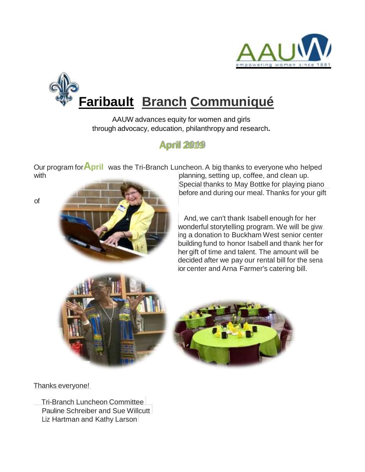

# **Faribault Branch Communiqué**

AAUW advances equity for women and girls through advocacy, education, philanthropy and research**.**

# **April 2019**

with with planning, setting up, coffee, and clean up. Our program for**April** was the Tri-Branch Luncheon.A big thanks to everyone who helped

Special thanks to May Bottke for playing piano before and during our meal. Thanks for your gift

And, we can't thank Isabell enough for her wonderful storytelling program. We will be givw ing a donation to Buckham West senior center building fund to honor Isabell and thank her for her gift of time and talent. The amount will be decided after we pay our rental bill for the sena ior center and Arna Farmer's catering bill.





Thanks everyone!

Tri-Branch Luncheon Committee Pauline Schreiber and Sue Willcutt Liz Hartman and Kathy Larson

of <u>music. The music of</u> music of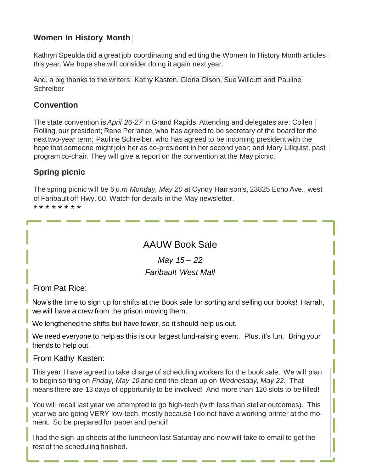# **Women In History Month**

Kathryn Speulda did a great job coordinating and editing the Women In History Month articles this year. We hope she will consider doing it again next year.

And, a big thanks to the writers: Kathy Kasten, Gloria Olson, Sue Willcutt and Pauline **Schreiber** 

#### **Convention**

The state convention is*April 26-27* in Grand Rapids. Attending and delegates are: Collen Rolling, our president; Rene Perrance, who has agreed to be secretary of the board for the next two-year term; Pauline Schreiber, who has agreed to be incoming president with the hope that someone might join her as co-president in her second year; and Mary Lillquist, past program co-chair. They will give a report on the convention at the May picnic.

# **Spring picnic**

The spring picnic will be *6 p.m Monday, May 20* at Cyndy Harrison's, 23825 Echo Ave., west of Faribault off Hwy. 60. Watch for details in the May newsletter.

\* \* \* \* \* \* \* \*

# AAUW Book Sale

*May 15 – 22 Faribault West Mall*

From Pat Rice:

Now's the time to sign up for shifts at the Book sale for sorting and selling our books! Harrah, we will have a crew from the prison moving them.

We lengthened the shifts but have fewer, so it should help us out.

We need everyone to help as this is our largest fund-raising event. Plus, it's fun. Bring your friends to help out.

#### From Kathy Kasten:

This year I have agreed to take charge of scheduling workers for the book sale. We will plan to begin sorting on *Friday, May 10* and end the clean up on *Wednesday, May 22*. That means there are 13 days of opportunity to be involved! And more than 120 slots to be filled!

You will recall last year we attempted to go high-tech (with less than stellar outcomes). This year we are going VERY low-tech, mostly because I do not have a working printer at the moment. So be prepared for paper and pencil!

<sup>I</sup> had the sign-up sheets at the luncheon last Saturday and now will take to email to get the rest of the scheduling finished.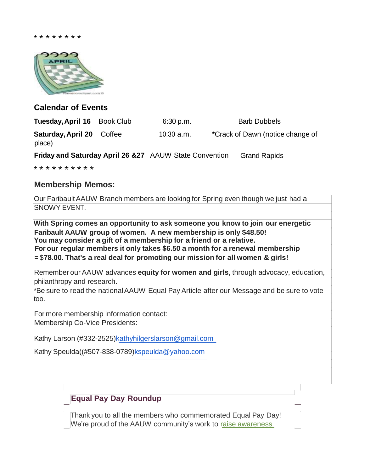

#### **Calendar of Events**

**Tuesday, April 16** Book Club 6:30 p.m. Barb Dubbels **Saturday, April 20** Coffee 10:30 a.m. **\***Crack of Dawn (notice change of place)

**Friday and Saturday April 26 &27** AAUW State Convention Grand Rapids

\* \* \* \* \* \* \* \* \* \*

#### **Membership Memos:**

Our FaribaultAAUW Branch members are looking for Spring even though we just had a SNOWY EVENT.

**You may consider a gift of a membership for a friend or a relative. For our regular members it only takes \$6.50 a month for a renewal membership =** \$**78.00. That's a real deal for promoting our mission for all women & girls! With Spring comes an opportunity to ask someone you know to join our energetic Faribault AAUW group of women. A new membership is only \$48.50!**

Remember our AAUW advances **equity for women and girls**, through advocacy, education, philanthropy and research.

\*Be sure to read the nationalAAUW Equal Pay Article after our Message and be sure to vote too.

For more membership information contact: Membership Co-Vice Presidents:

Kathy Larson (#332-2525)kathyhilgerslarson@gmail.com

Kathy Speulda((#507-838-0789)kspeulda@yahoo.com

# **Equal Pay Day Roundup**

Thank you to all the members who commemorated Equal Pay Day! We're proud of the AAUW community's work to raise awareness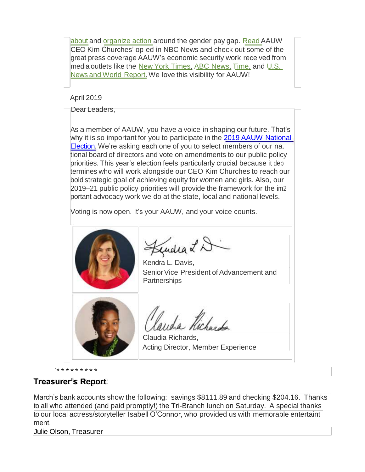about and organize action around the gender pay gap. Read AAUW CEO Kim Churches' op-ed in NBC News and check out some of the great press coverage AAUW's economic security work received from media outlets like the New York Times, ABC News, Time, and U.S. News and World Report. We love this visibility for AAUW!

#### April 2019

Dear Leaders,

As a member of AAUW, you have a voice in shaping our future. That's why it is so important for you to participate in the 2019 AAUW National Election. We're asking each one of you to select members of our na. tional board of directors and vote on amendments to our public policy priorities. This year's election feels particularly crucial because it dep termines who will work alongside our CEO Kim Churches to reach our bold strategic goal of achieving equity for women and girls. Also, our 2019–21 public policy priorities will provide the framework for the im2 portant advocacy work we do at the state, local and national levels.

Voting is now open. It's your AAUW, and your voice counts.



endra L D

Kendra L. Davis, Senior Vice President of Advancement and **Partnerships** 



Claudia Richards, Acting Director, Member Experience

# **Treasurer's Report**

`\* \*\*\*\*\*\*\* \*

March's bank accounts show the following: savings \$8111.89 and checking \$204.16. Thanks to all who attended (and paid promptly!) the Tri-Branch lunch on Saturday. A special thanks to our local actress/storyteller Isabell O'Connor, who provided us with memorable entertaint ment.

Julie Olson, Treasurer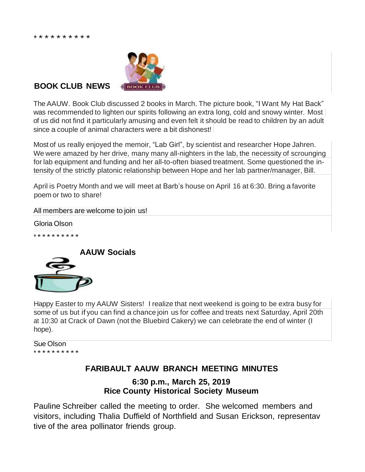

#### **BOOK CLUB NEWS**

The AAUW. Book Club discussed 2 books in March. The picture book, "I Want My Hat Back" was recommended to lighten our spirits following an extra long, cold and snowy winter. Most of us did not find it particularly amusing and even felt it should be read to children by an adult since a couple of animal characters were a bit dishonest!

Most of us really enjoyed the memoir, "Lab Girl", by scientist and researcher Hope Jahren. We were amazed by her drive, many many all-nighters in the lab, the necessity of scrounging for lab equipment and funding and her all-to-often biased treatment. Some questioned the intensity of the strictly platonic relationship between Hope and her lab partner/manager, Bill.

April is Poetry Month and we will meet at Barb's house on April 16 at 6:30. Bring a favorite poem or two to share!

All members are welcome to join us!

Gloria Olson

\* \*\*\*\*\*\*\*\*\*



Happy Easter to my AAUW Sisters! I realize that next weekend is going to be extra busy for some of us but if you can find a chance join us for coffee and treats next Saturday, April 20th at 10:30 at Crack of Dawn (not the Bluebird Cakery) we can celebrate the end of winter (I hope).

Sue Olson \* \*\*\*\*\*\*\*\*\*

# **FARIBAULT AAUW BRANCH MEETING MINUTES**

**6:30 p.m., March 25, 2019 Rice County Historical Society Museum**

Pauline Schreiber called the meeting to order. She welcomed members and visitors, including Thalia Duffield of Northfield and Susan Erickson, representav tive of the area pollinator friends group.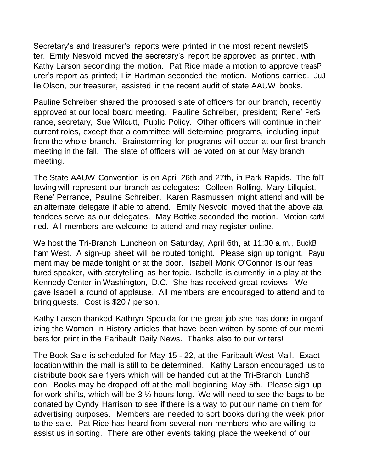Secretary's and treasurer's reports were printed in the most recent newsletS ter. Emily Nesvold moved the secretary's report be approved as printed, with Kathy Larson seconding the motion. Pat Rice made a motion to approve treasP urer's report as printed; Liz Hartman seconded the motion. Motions carried. JuJ lie Olson, our treasurer, assisted in the recent audit of state AAUW books.

Pauline Schreiber shared the proposed slate of officers for our branch, recently approved at our local board meeting. Pauline Schreiber, president; Rene' PerS rance, secretary, Sue Wilcutt, Public Policy. Other officers will continue in their current roles, except that a committee will determine programs, including input from the whole branch. Brainstorming for programs will occur at our first branch meeting in the fall. The slate of officers will be voted on at our May branch meeting.

The State AAUW Convention is on April 26th and 27th, in Park Rapids. The folT lowing will represent our branch as delegates: Colleen Rolling, Mary Lillquist, Rene' Perrance, Pauline Schreiber. Karen Rasmussen might attend and will be an alternate delegate if able to attend. Emily Nesvold moved that the above ata tendees serve as our delegates. May Bottke seconded the motion. Motion carM ried. All members are welcome to attend and may register online.

We host the Tri-Branch Luncheon on Saturday, April 6th, at 11;30 a.m., BuckB ham West. A sign-up sheet will be routed tonight. Please sign up tonight. Payu ment may be made tonight or at the door. Isabell Monk O'Connor is our feas tured speaker, with storytelling as her topic. Isabelle is currently in a play at the Kennedy Center in Washington, D.C. She has received great reviews. We gave Isabell a round of applause. All members are encouraged to attend and to bring guests. Cost is \$20 / person.

Kathy Larson thanked Kathryn Speulda for the great job she has done in organf izing the Women in History articles that have been written by some of our memi bers for print in the Faribault Daily News. Thanks also to our writers!

The Book Sale is scheduled for May 15 - 22, at the Faribault West Mall. Exact location within the mall is still to be determined. Kathy Larson encouraged us to distribute book sale flyers which will be handed out at the Tri-Branch LunchB eon. Books may be dropped off at the mall beginning May 5th. Please sign up for work shifts, which will be 3 ½ hours long. We will need to see the bags to be donated by Cyndy Harrison to see if there is a way to put our name on them for advertising purposes. Members are needed to sort books during the week prior to the sale. Pat Rice has heard from several non-members who are willing to assist us in sorting. There are other events taking place the weekend of our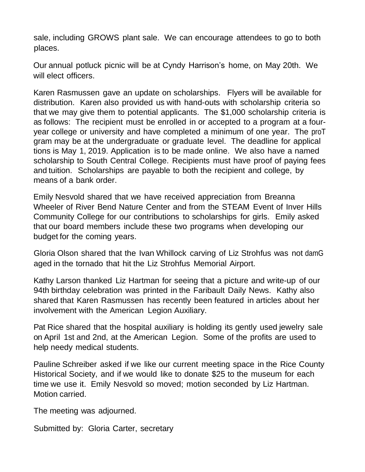sale, including GROWS plant sale. We can encourage attendees to go to both places.

Our annual potluck picnic will be at Cyndy Harrison's home, on May 20th. We will elect officers.

Karen Rasmussen gave an update on scholarships. Flyers will be available for distribution. Karen also provided us with hand-outs with scholarship criteria so that we may give them to potential applicants. The \$1,000 scholarship criteria is as follows: The recipient must be enrolled in or accepted to a program at a fouryear college or university and have completed a minimum of one year. The proT gram may be at the undergraduate or graduate level. The deadline for applical tions is May 1, 2019. Application is to be made online. We also have a named scholarship to South Central College. Recipients must have proof of paying fees and tuition. Scholarships are payable to both the recipient and college, by means of a bank order.

Emily Nesvold shared that we have received appreciation from Breanna Wheeler of River Bend Nature Center and from the STEAM Event of Inver Hills Community College for our contributions to scholarships for girls. Emily asked that our board members include these two programs when developing our budget for the coming years.

Gloria Olson shared that the Ivan Whillock carving of Liz Strohfus was not damG aged in the tornado that hit the Liz Strohfus Memorial Airport.

Kathy Larson thanked Liz Hartman for seeing that a picture and write-up of our 94th birthday celebration was printed in the Faribault Daily News. Kathy also shared that Karen Rasmussen has recently been featured in articles about her involvement with the American Legion Auxiliary.

Pat Rice shared that the hospital auxiliary is holding its gently used jewelry sale on April 1st and 2nd, at the American Legion. Some of the profits are used to help needy medical students.

Pauline Schreiber asked if we like our current meeting space in the Rice County Historical Society, and if we would like to donate \$25 to the museum for each time we use it. Emily Nesvold so moved; motion seconded by Liz Hartman. Motion carried.

The meeting was adjourned.

Submitted by: Gloria Carter, secretary